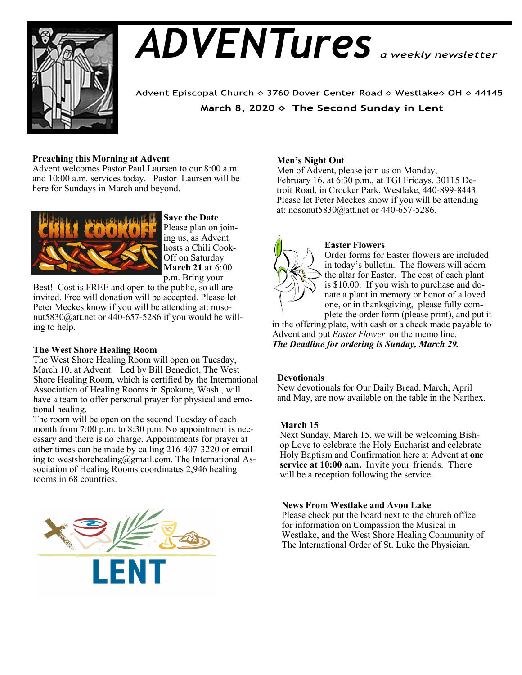

# *ADVENTures*

Advent Episcopal Church ◇ 3760 Dover Center Road ◇ Westlake◇ OH ◇ 44145 March 8, 2020  $\diamond$  The Second Sunday in Lent

# **Preaching this Morning at Advent**

Advent welcomes Pastor Paul Laursen to our 8:00 a.m. and 10:00 a.m. services today. Pastor Laursen will be here for Sundays in March and beyond.



**Save the Date** Please plan on joining us, as Advent hosts a Chili Cook-Off on Saturday **March 21** at 6:00 p.m. Bring your

Best! Cost is FREE and open to the public, so all are invited. Free will donation will be accepted. Please let Peter Meckes know if you will be attending at: nosonut5830@att.net or 440-657-5286 if you would be willing to help.

The West Shore Healing Room will open on Tuesday, March 10, at Advent. Led by Bill Benedict, The West Shore Healing Room, which is certified by the International Association of Healing Rooms in Spokane, Wash., will have a team to offer personal prayer for physical and emotional healing.

The room will be open on the second Tuesday of each month from 7:00 p.m. to 8:30 p.m. No appointment is necessary and there is no charge. Appointments for prayer at other times can be made by calling 216-407-3220 or emailing to westshorehealing@gmail.com. The International Association of Healing Rooms coordinates 2,946 healing rooms in 68 countries.



# **Men's Night Out**

Men of Advent, please join us on Monday, February 16, at 6:30 p.m., at TGI Fridays, 30115 Detroit Road, in Crocker Park, Westlake, 440-899-8443. Please let Peter Meckes know if you will be attending at: nosonut5830@att.net or 440-657-5286.



## **Easter Flowers**

Order forms for Easter flowers are included in today's bulletin. The flowers will adorn the altar for Easter. The cost of each plant is \$10.00. If you wish to purchase and donate a plant in memory or honor of a loved one, or in thanksgiving, please fully complete the order form (please print), and put it

in the offering plate, with cash or a check made payable to Advent and put *Easter Flower* on the memo line. *The Deadline for ordering is Sunday, March 29.* **The West Shore Healing Room**

# **Devotionals**

New devotionals for Our Daily Bread, March, April and May, are now available on the table in the Narthex.

### **March 15**

Next Sunday, March 15, we will be welcoming Bishop Love to celebrate the Holy Eucharist and celebrate Holy Baptism and Confirmation here at Advent at **one service at 10:00 a.m.** Invite your friends. There will be a reception following the service.

### **News From Westlake and Avon Lake**

Please check put the board next to the church office for information on Compassion the Musical in Westlake, and the West Shore Healing Community of The International Order of St. Luke the Physician.